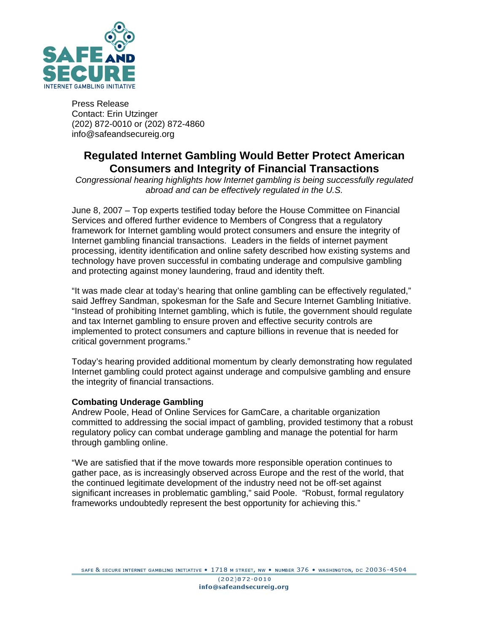

Press Release Contact: Erin Utzinger (202) 872-0010 or (202) 872-4860 info@safeandsecureig.org

# **Regulated Internet Gambling Would Better Protect American Consumers and Integrity of Financial Transactions**

*Congressional hearing highlights how Internet gambling is being successfully regulated abroad and can be effectively regulated in the U.S.* 

June 8, 2007 – Top experts testified today before the House Committee on Financial Services and offered further evidence to Members of Congress that a regulatory framework for Internet gambling would protect consumers and ensure the integrity of Internet gambling financial transactions. Leaders in the fields of internet payment processing, identity identification and online safety described how existing systems and technology have proven successful in combating underage and compulsive gambling and protecting against money laundering, fraud and identity theft.

"It was made clear at today's hearing that online gambling can be effectively regulated," said Jeffrey Sandman, spokesman for the Safe and Secure Internet Gambling Initiative. "Instead of prohibiting Internet gambling, which is futile, the government should regulate and tax Internet gambling to ensure proven and effective security controls are implemented to protect consumers and capture billions in revenue that is needed for critical government programs."

Today's hearing provided additional momentum by clearly demonstrating how regulated Internet gambling could protect against underage and compulsive gambling and ensure the integrity of financial transactions.

## **Combating Underage Gambling**

Andrew Poole, Head of Online Services for GamCare, a charitable organization committed to addressing the social impact of gambling, provided testimony that a robust regulatory policy can combat underage gambling and manage the potential for harm through gambling online.

"We are satisfied that if the move towards more responsible operation continues to gather pace, as is increasingly observed across Europe and the rest of the world, that the continued legitimate development of the industry need not be off-set against significant increases in problematic gambling," said Poole. "Robust, formal regulatory frameworks undoubtedly represent the best opportunity for achieving this."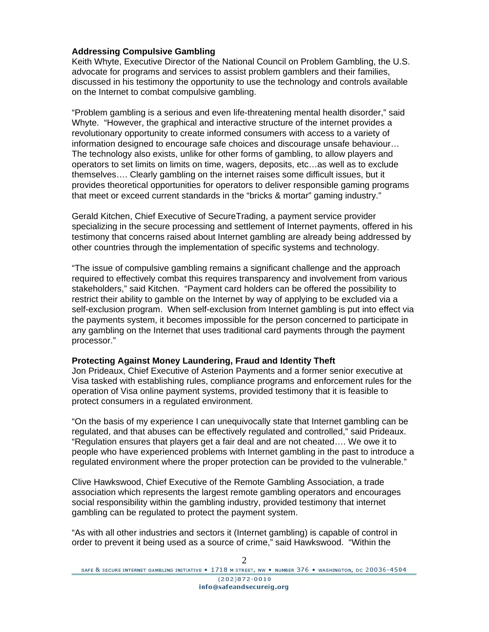## **Addressing Compulsive Gambling**

Keith Whyte, Executive Director of the National Council on Problem Gambling, the U.S. advocate for programs and services to assist problem gamblers and their families, discussed in his testimony the opportunity to use the technology and controls available on the Internet to combat compulsive gambling.

"Problem gambling is a serious and even life-threatening mental health disorder," said Whyte. "However, the graphical and interactive structure of the internet provides a revolutionary opportunity to create informed consumers with access to a variety of information designed to encourage safe choices and discourage unsafe behaviour… The technology also exists, unlike for other forms of gambling, to allow players and operators to set limits on limits on time, wagers, deposits, etc…as well as to exclude themselves…. Clearly gambling on the internet raises some difficult issues, but it provides theoretical opportunities for operators to deliver responsible gaming programs that meet or exceed current standards in the "bricks & mortar" gaming industry."

Gerald Kitchen, Chief Executive of SecureTrading, a payment service provider specializing in the secure processing and settlement of Internet payments, offered in his testimony that concerns raised about Internet gambling are already being addressed by other countries through the implementation of specific systems and technology.

"The issue of compulsive gambling remains a significant challenge and the approach required to effectively combat this requires transparency and involvement from various stakeholders," said Kitchen. "Payment card holders can be offered the possibility to restrict their ability to gamble on the Internet by way of applying to be excluded via a self-exclusion program. When self-exclusion from Internet gambling is put into effect via the payments system, it becomes impossible for the person concerned to participate in any gambling on the Internet that uses traditional card payments through the payment processor."

#### **Protecting Against Money Laundering, Fraud and Identity Theft**

Jon Prideaux, Chief Executive of Asterion Payments and a former senior executive at Visa tasked with establishing rules, compliance programs and enforcement rules for the operation of Visa online payment systems, provided testimony that it is feasible to protect consumers in a regulated environment.

"On the basis of my experience I can unequivocally state that Internet gambling can be regulated, and that abuses can be effectively regulated and controlled," said Prideaux. "Regulation ensures that players get a fair deal and are not cheated…. We owe it to people who have experienced problems with Internet gambling in the past to introduce a regulated environment where the proper protection can be provided to the vulnerable."

Clive Hawkswood, Chief Executive of the Remote Gambling Association, a trade association which represents the largest remote gambling operators and encourages social responsibility within the gambling industry, provided testimony that internet gambling can be regulated to protect the payment system.

"As with all other industries and sectors it (Internet gambling) is capable of control in order to prevent it being used as a source of crime," said Hawkswood. "Within the